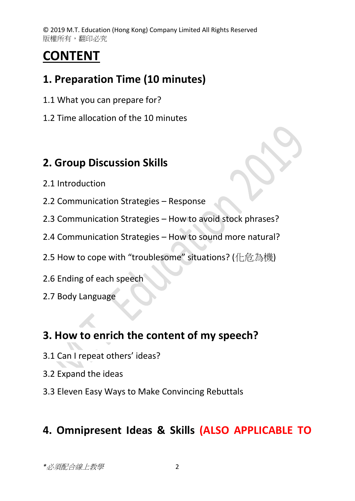© 2019 M.T. Education (Hong Kong) Company Limited All Rights Reserved 版權所有,翻印必究

# **CONTENT**

# **1. Preparation Time (10 minutes)**

- 1.1 What you can prepare for?
- 1.2 Time allocation of the 10 minutes

#### **2. Group Discussion Skills**

- 2.1 Introduction
- 2.2 Communication Strategies Response
- 2.3 Communication Strategies How to avoid stock phrases?
- 2.4 Communication Strategies How to sound more natural?
- 2.5 How to cope with "troublesome" situations? (仆危為機)
- 2.6 Ending of each speech
- 2.7 Body Language

# **3. How to enrich the content of my speech?**

- 3.1 Can I repeat others' ideas?
- 3.2 Expand the ideas
- 3.3 Eleven Easy Ways to Make Convincing Rebuttals

# **4. Omnipresent Ideas & Skills (ALSO APPLICABLE TO**